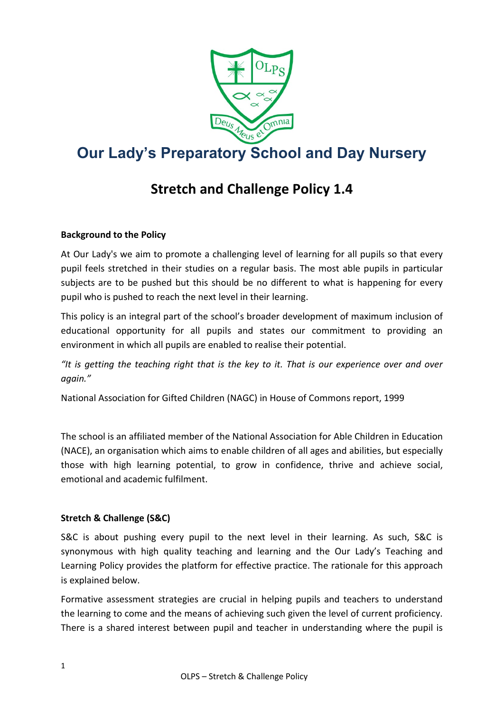

# **Our Lady's Preparatory School and Day Nursery**

# **Stretch and Challenge Policy 1.4**

# **Background to the Policy**

At Our Lady's we aim to promote a challenging level of learning for all pupils so that every pupil feels stretched in their studies on a regular basis. The most able pupils in particular subjects are to be pushed but this should be no different to what is happening for every pupil who is pushed to reach the next level in their learning.

This policy is an integral part of the school's broader development of maximum inclusion of educational opportunity for all pupils and states our commitment to providing an environment in which all pupils are enabled to realise their potential.

*"It is getting the teaching right that is the key to it. That is our experience over and over again."*

National Association for Gifted Children (NAGC) in House of Commons report, 1999

The school is an affiliated member of the National Association for Able Children in Education (NACE), an organisation which aims to enable children of all ages and abilities, but especially those with high learning potential, to grow in confidence, thrive and achieve social, emotional and academic fulfilment.

## **Stretch & Challenge (S&C)**

S&C is about pushing every pupil to the next level in their learning. As such, S&C is synonymous with high quality teaching and learning and the Our Lady's Teaching and Learning Policy provides the platform for effective practice. The rationale for this approach is explained below.

Formative assessment strategies are crucial in helping pupils and teachers to understand the learning to come and the means of achieving such given the level of current proficiency. There is a shared interest between pupil and teacher in understanding where the pupil is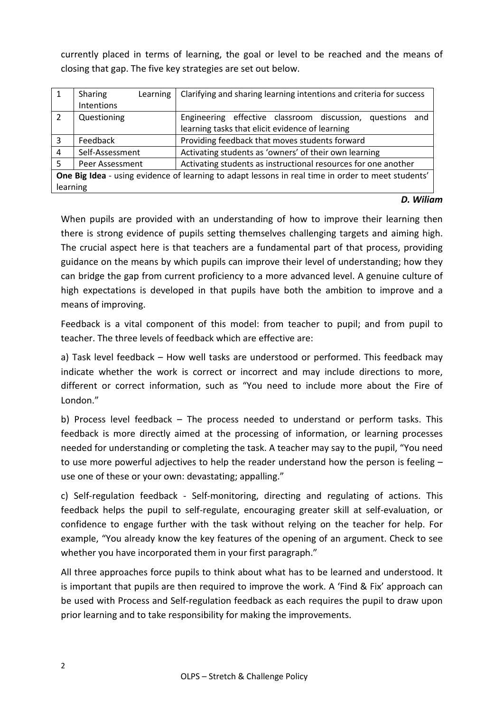currently placed in terms of learning, the goal or level to be reached and the means of closing that gap. The five key strategies are set out below.

|                                                                                                    | Sharing<br>Learning | Clarifying and sharing learning intentions and criteria for success |
|----------------------------------------------------------------------------------------------------|---------------------|---------------------------------------------------------------------|
|                                                                                                    | Intentions          |                                                                     |
| 2                                                                                                  | Questioning         | Engineering effective classroom discussion, questions<br>and        |
|                                                                                                    |                     | learning tasks that elicit evidence of learning                     |
| 3                                                                                                  | Feedback            | Providing feedback that moves students forward                      |
| 4                                                                                                  | Self-Assessment     | Activating students as 'owners' of their own learning               |
| 5                                                                                                  | Peer Assessment     | Activating students as instructional resources for one another      |
| One Big Idea - using evidence of learning to adapt lessons in real time in order to meet students' |                     |                                                                     |
| learning                                                                                           |                     |                                                                     |

#### *D. Wiliam*

When pupils are provided with an understanding of how to improve their learning then there is strong evidence of pupils setting themselves challenging targets and aiming high. The crucial aspect here is that teachers are a fundamental part of that process, providing guidance on the means by which pupils can improve their level of understanding; how they can bridge the gap from current proficiency to a more advanced level. A genuine culture of high expectations is developed in that pupils have both the ambition to improve and a means of improving.

Feedback is a vital component of this model: from teacher to pupil; and from pupil to teacher. The three levels of feedback which are effective are:

a) Task level feedback – How well tasks are understood or performed. This feedback may indicate whether the work is correct or incorrect and may include directions to more, different or correct information, such as "You need to include more about the Fire of London."

b) Process level feedback – The process needed to understand or perform tasks. This feedback is more directly aimed at the processing of information, or learning processes needed for understanding or completing the task. A teacher may say to the pupil, "You need to use more powerful adjectives to help the reader understand how the person is feeling – use one of these or your own: devastating; appalling."

c) Self-regulation feedback - Self-monitoring, directing and regulating of actions. This feedback helps the pupil to self-regulate, encouraging greater skill at self-evaluation, or confidence to engage further with the task without relying on the teacher for help. For example, "You already know the key features of the opening of an argument. Check to see whether you have incorporated them in your first paragraph."

All three approaches force pupils to think about what has to be learned and understood. It is important that pupils are then required to improve the work. A 'Find & Fix' approach can be used with Process and Self-regulation feedback as each requires the pupil to draw upon prior learning and to take responsibility for making the improvements.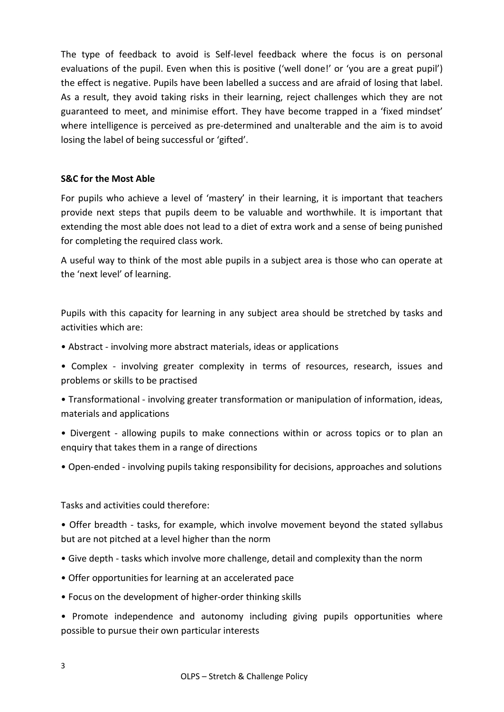The type of feedback to avoid is Self-level feedback where the focus is on personal evaluations of the pupil. Even when this is positive ('well done!' or 'you are a great pupil') the effect is negative. Pupils have been labelled a success and are afraid of losing that label. As a result, they avoid taking risks in their learning, reject challenges which they are not guaranteed to meet, and minimise effort. They have become trapped in a 'fixed mindset' where intelligence is perceived as pre-determined and unalterable and the aim is to avoid losing the label of being successful or 'gifted'.

#### **S&C for the Most Able**

For pupils who achieve a level of 'mastery' in their learning, it is important that teachers provide next steps that pupils deem to be valuable and worthwhile. It is important that extending the most able does not lead to a diet of extra work and a sense of being punished for completing the required class work.

A useful way to think of the most able pupils in a subject area is those who can operate at the 'next level' of learning.

Pupils with this capacity for learning in any subject area should be stretched by tasks and activities which are:

- Abstract involving more abstract materials, ideas or applications
- Complex involving greater complexity in terms of resources, research, issues and problems or skills to be practised
- Transformational involving greater transformation or manipulation of information, ideas, materials and applications
- Divergent allowing pupils to make connections within or across topics or to plan an enquiry that takes them in a range of directions
- Open-ended involving pupils taking responsibility for decisions, approaches and solutions

Tasks and activities could therefore:

- Offer breadth tasks, for example, which involve movement beyond the stated syllabus but are not pitched at a level higher than the norm
- Give depth tasks which involve more challenge, detail and complexity than the norm
- Offer opportunities for learning at an accelerated pace
- Focus on the development of higher-order thinking skills
- Promote independence and autonomy including giving pupils opportunities where possible to pursue their own particular interests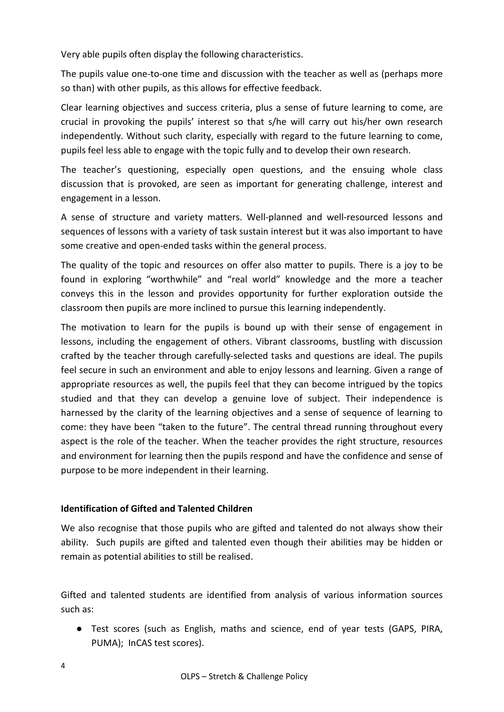Very able pupils often display the following characteristics.

The pupils value one-to-one time and discussion with the teacher as well as (perhaps more so than) with other pupils, as this allows for effective feedback.

Clear learning objectives and success criteria, plus a sense of future learning to come, are crucial in provoking the pupils' interest so that s/he will carry out his/her own research independently. Without such clarity, especially with regard to the future learning to come, pupils feel less able to engage with the topic fully and to develop their own research.

The teacher's questioning, especially open questions, and the ensuing whole class discussion that is provoked, are seen as important for generating challenge, interest and engagement in a lesson.

A sense of structure and variety matters. Well-planned and well-resourced lessons and sequences of lessons with a variety of task sustain interest but it was also important to have some creative and open-ended tasks within the general process.

The quality of the topic and resources on offer also matter to pupils. There is a joy to be found in exploring "worthwhile" and "real world" knowledge and the more a teacher conveys this in the lesson and provides opportunity for further exploration outside the classroom then pupils are more inclined to pursue this learning independently.

The motivation to learn for the pupils is bound up with their sense of engagement in lessons, including the engagement of others. Vibrant classrooms, bustling with discussion crafted by the teacher through carefully-selected tasks and questions are ideal. The pupils feel secure in such an environment and able to enjoy lessons and learning. Given a range of appropriate resources as well, the pupils feel that they can become intrigued by the topics studied and that they can develop a genuine love of subject. Their independence is harnessed by the clarity of the learning objectives and a sense of sequence of learning to come: they have been "taken to the future". The central thread running throughout every aspect is the role of the teacher. When the teacher provides the right structure, resources and environment for learning then the pupils respond and have the confidence and sense of purpose to be more independent in their learning.

## **Identification of Gifted and Talented Children**

We also recognise that those pupils who are gifted and talented do not always show their ability. Such pupils are gifted and talented even though their abilities may be hidden or remain as potential abilities to still be realised.

Gifted and talented students are identified from analysis of various information sources such as:

● Test scores (such as English, maths and science, end of year tests (GAPS, PIRA, PUMA); InCAS test scores).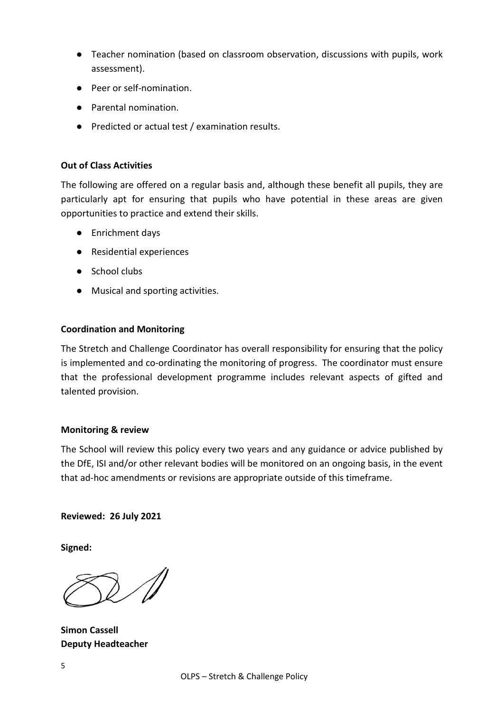- Teacher nomination (based on classroom observation, discussions with pupils, work assessment).
- Peer or self-nomination.
- Parental nomination
- Predicted or actual test / examination results.

#### **Out of Class Activities**

The following are offered on a regular basis and, although these benefit all pupils, they are particularly apt for ensuring that pupils who have potential in these areas are given opportunities to practice and extend their skills.

- Enrichment days
- Residential experiences
- School clubs
- Musical and sporting activities.

#### **Coordination and Monitoring**

The Stretch and Challenge Coordinator has overall responsibility for ensuring that the policy is implemented and co-ordinating the monitoring of progress. The coordinator must ensure that the professional development programme includes relevant aspects of gifted and talented provision.

#### **Monitoring & review**

The School will review this policy every two years and any guidance or advice published by the DfE, ISI and/or other relevant bodies will be monitored on an ongoing basis, in the event that ad-hoc amendments or revisions are appropriate outside of this timeframe.

#### **Reviewed: 26 July 2021**

**Signed:**

**Simon Cassell Deputy Headteacher**